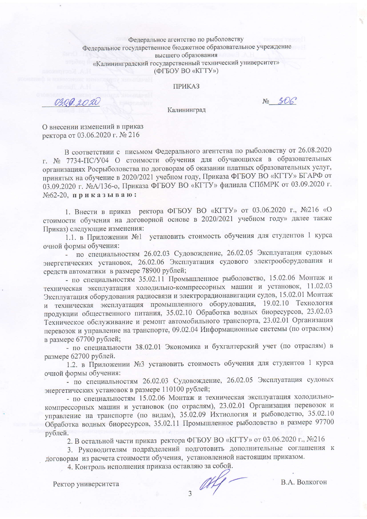## Федеральное агентство по рыболовству Федеральное государственное бюджетное образовательное учреждение высшего образования «Калининградский государственный технический университет» (ФГБОУ ВО «КГТУ»)

**ПРИКАЗ** 

0300.2020

No 306

Калининград

О внесении изменений в приказ ректора от 03.06.2020 г. № 216

В соответствии с письмом Федерального агентства по рыболовству от 26.08.2020 г. № 7734-ПС/У04 О стоимости обучения для обучающихся в образовательных организациях Росрыболовства по договорам об оказании платных образовательных услуг, принятых на обучение в 2020/2021 учебном году, Приказа ФГБОУ ВО «КГТУ» БГАРФ от 03.09.2020 г. №А/136-о, Приказа ФГБОУ ВО «КГТУ» филиала СПбМРК от 03.09.2020 г. №62-20, приказываю:

1. Внести в приказ ректора ФГБОУ ВО «КГТУ» от 03.06.2020 г., №216 «О стоимости обучения на договорной основе в 2020/2021 учебном году» далее также Приказ) следующие изменения:

1.1. в Приложении №1 установить стоимость обучения для студентов 1 курса очной формы обучения:

- по специальностям 26.02.03 Судовождение, 26.02.05 Эксплуатация судовых энергетических установок, 26.02.06 Эксплуатация судового электрооборудования и средств автоматики в размере 78900 рублей;

- по специальностям 35.02.11 Промышленное рыболовство, 15.02.06 Монтаж и техническая эксплуатация холодильно-компрессорных машин и установок, 11.02.03 Эксплуатация оборудования радиосвязи и электрорадионавигации судов, 15.02.01 Монтаж и техническая эксплуатация промышленного оборудования, 19.02.10 Технология продукции общественного питания, 35.02.10 Обработка водных биоресурсов, 23.02.03 Техническое обслуживание и ремонт автомобильного транспорта, 23.02.01 Организация перевозок и управление на транспорте, 09.02.04 Информационные системы (по отраслям) в размере 67700 рублей;

- по специальности 38.02.01 Экономика и бухгалтерский учет (по отраслям) в размере 62700 рублей.

1.2. в Приложении №3 установить стоимость обучения для студентов 1 курса очной формы обучения:

- по специальностям 26.02.03 Судовождение, 26.02.05 Эксплуатация судовых энергетических установок в размере 110100 рублей;

- по специальностям 15.02.06 Монтаж и техническая эксплуатация холодильнокомпрессорных машин и установок (по отраслям), 23.02.01 Организация перевозок и управление на транспорте (по видам), 35.02.09 Ихтиология и рыбоводство, 35.02.10 Обработка водных биоресурсов, 35.02.11 Промышленное рыболовство в размере 97700 рублей.

2. В остальной части приказ ректора ФГБОУ ВО «КГТУ» от 03.06.2020 г., №216

3. Руководителям подразделений подготовить дополнительные соглашения к договорам из расчета стоимости обучения, установленной настоящим приказом.

4. Контроль исполнения приказа оставляю за собой.

Ректор университета

 $\frac{df}{f}$ .

В.А. Волкогон